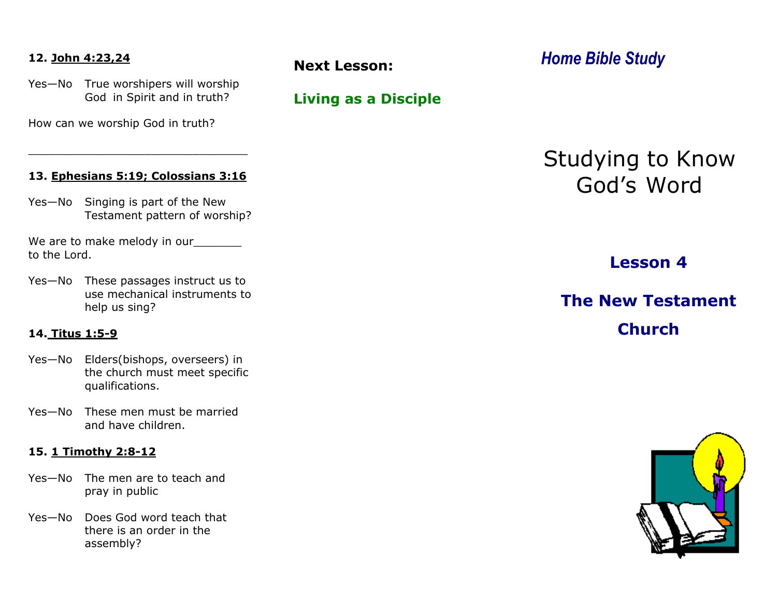#### **12. John 4:23,24**

Yes—No True worshipers will worship God in Spirit and in truth?

How can we worship God in truth?

#### **13. Ephesians 5:19; Colossians 3:16**

\_\_\_\_\_\_\_\_\_\_\_\_\_\_\_\_\_\_\_\_\_\_\_\_\_\_\_\_\_\_\_\_

Yes—No Singing is part of the New Testament pattern of worship?

We are to make melody in our to the Lord.

Yes—No These passages instruct us to use mechanical instruments to help us sing?

#### **14. Titus 1:5-9**

- Yes—No Elders(bishops, overseers) in the church must meet specific qualifications.
- Yes—No These men must be married and have children.

#### **15. 1 Timothy 2:8-12**

- Yes—No The men are to teach and pray in public
- Yes—No Does God word teach that there is an order in the assembly?

**Living as a Disciple**

*Home Bible Study* **Next Lesson:** 

Studying to Know God's Word

**Lesson 4**

# **The New Testament Church**